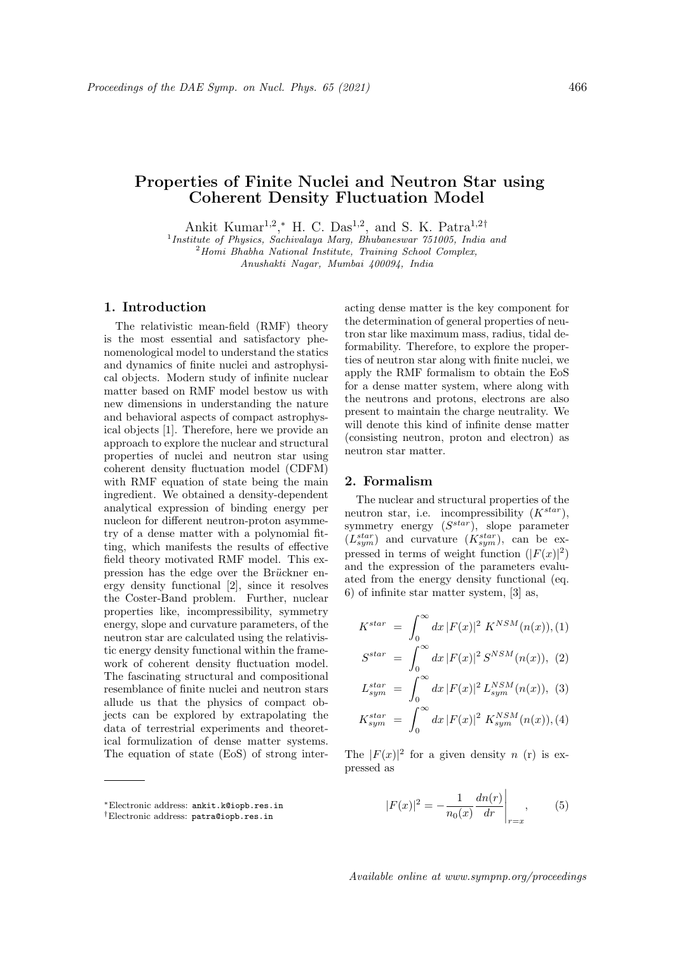# Properties of Finite Nuclei and Neutron Star using Coherent Density Fluctuation Model

Ankit Kumar<sup>1,2</sup>,\* H. C. Das<sup>1,2</sup>, and S. K. Patra<sup>1,2†</sup>

<sup>1</sup>Institute of Physics, Sachivalaya Marg, Bhubaneswar 751005, India and

 $2$ Homi Bhabha National Institute, Training School Complex,

Anushakti Nagar, Mumbai 400094, India

# 1. Introduction

The relativistic mean-field (RMF) theory is the most essential and satisfactory phenomenological model to understand the statics and dynamics of finite nuclei and astrophysical objects. Modern study of infinite nuclear matter based on RMF model bestow us with new dimensions in understanding the nature and behavioral aspects of compact astrophysical objects [1]. Therefore, here we provide an approach to explore the nuclear and structural properties of nuclei and neutron star using coherent density fluctuation model (CDFM) with RMF equation of state being the main ingredient. We obtained a density-dependent analytical expression of binding energy per nucleon for different neutron-proton asymmetry of a dense matter with a polynomial fitting, which manifests the results of effective field theory motivated RMF model. This expression has the edge over the Brückner energy density functional [2], since it resolves the Coster-Band problem. Further, nuclear properties like, incompressibility, symmetry energy, slope and curvature parameters, of the neutron star are calculated using the relativistic energy density functional within the framework of coherent density fluctuation model. The fascinating structural and compositional resemblance of finite nuclei and neutron stars allude us that the physics of compact objects can be explored by extrapolating the data of terrestrial experiments and theoretical formulization of dense matter systems. The equation of state (EoS) of strong interacting dense matter is the key component for the determination of general properties of neutron star like maximum mass, radius, tidal deformability. Therefore, to explore the properties of neutron star along with finite nuclei, we apply the RMF formalism to obtain the EoS for a dense matter system, where along with the neutrons and protons, electrons are also present to maintain the charge neutrality. We will denote this kind of infinite dense matter (consisting neutron, proton and electron) as neutron star matter.

### 2. Formalism

The nuclear and structural properties of the neutron star, i.e. incompressibility  $(K^{star})$ , symmetry energy  $(S^{star})$ , slope parameter  $(L_{sym}^{star})$  and curvature  $(K_{sym}^{star})$ , can be expressed in terms of weight function  $(|F(x)|^2)$ and the expression of the parameters evaluated from the energy density functional (eq. 6) of infinite star matter system, [3] as,

$$
K^{star} = \int_0^\infty dx \, |F(x)|^2 \, K^{NSM}(n(x)), (1)
$$

$$
S^{star} = \int_0^\infty dx \, |F(x)|^2 \, S^{NSM}(n(x)), \tag{2}
$$

$$
L_{sym}^{star} = \int_0^\infty dx \, |F(x)|^2 \, L_{sym}^{NSM}(n(x)), \tag{3}
$$

$$
K_{sym}^{star} = \int_0^\infty dx \, |F(x)|^2 \, K_{sym}^{NSM}(n(x)), (4)
$$

The  $|F(x)|^2$  for a given density n (r) is expressed as

$$
|F(x)|^2 = -\frac{1}{n_0(x)} \frac{dn(r)}{dr} \Big|_{r=x}, \qquad (5)
$$

Available online at www.sympnp.org/proceedings

<sup>∗</sup>Electronic address: ankit.k@iopb.res.in

<sup>†</sup>Electronic address: patra@iopb.res.in